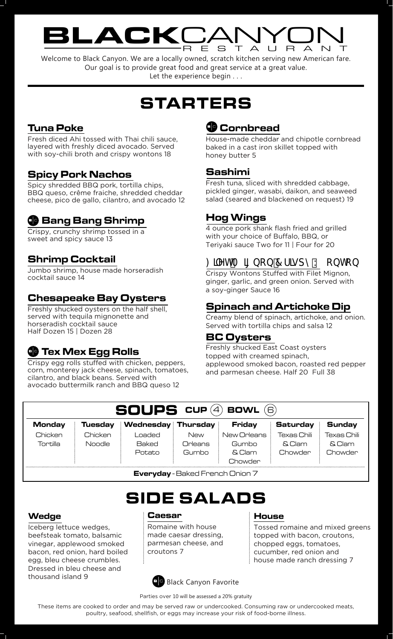## BLACKCANYON RESTAURANT

Welcome to Black Canyon. We are a locally owned, scratch kitchen serving new American fare. Our goal is to provide great food and great service at a great value. Let the experience begin . . .

# STARTERS

## Tuna Poke

Fresh diced Ahi tossed with Thai chili sauce, layered with freshly diced avocado. Served with soy-chili broth and crispy wontons 18

## Spicy Pork Nachos

Spicy shredded BBQ pork, tortilla chips, BBQ queso, crême fraiche, shredded cheddar cheese, pico de gallo, cilantro, and avocado 12

## **&B** Bang Shrimp

Crispy, crunchy shrimp tossed in a sweet and spicy sauce 13

## Shrimp Cocktail

Jumbo shrimp, house made horseradish cocktail sauce 14

#### Chesapeake Bay Oysters

Freshly shucked oysters on the half shell, served with tequila mignonette and horseradish cocktail sauce Half Dozen 15 | Dozen 28

## **CD** Tex Mex Egg Rolls

Crispy egg rolls stuffed with chicken, peppers, corn, monterey jack cheese, spinach, tomatoes, cilantro, and black beans. Served with avocado buttermilk ranch and BBQ queso 12

## **<sup>th</sup>** Cornbread

House-made cheddar and chipotle cornbread baked in a cast iron skillet topped with honey butter 5

#### Sashimi

Fresh tuna, sliced with shredded cabbage, pickled ginger, wasabi, daikon, and seaweed salad (seared and blackened on request) 19

## Hog Wings

4 ounce pork shank flash fried and grilled with your choice of Buffalo, BBQ, or Teriyaki sauce Two for 11 | Four for 20

## : JYhA ][ bcb 7 f]gdmK cbhcb

Crispy Wontons Stuffed with Filet Mignon, ginger, garlic, and green onion. Served with a soy-ginger Sauce 16

#### Spinach and Artichoke Dip

Creamy blend of spinach, artichoke, and onion. Served with tortilla chips and salsa 12

#### BC Oysters

Freshly shucked East Coast oysters topped with creamed spinach, applewood smoked bacon, roasted red pepper and parmesan cheese. Half 20 Full 38

| <b>SOUPS</b> CUP (4) BOWL<br>Έ, |         |                    |         |             |                 |               |
|---------------------------------|---------|--------------------|---------|-------------|-----------------|---------------|
| <b>Monday</b>                   | Tuesdav | Wednesday Thursday |         | Friday      | <b>Saturday</b> | <b>Sunday</b> |
| Chicken                         | Chicken | _oaded             | New     | New Orleans | Texas Chili     | Texas Chili   |
| Tortilla                        | Noodle  | <b>Baked</b>       | Orleans | Gumbo       | & Clam          | & Clam        |
|                                 |         | <b>Potato</b>      | Gumbo   | & Clam      | Chowder         | Chowder       |
|                                 |         |                    |         | Chowder     |                 |               |

Everyday - Baked French Onion 7

## SIDE SALADS

#### Wedge

Iceberg lettuce wedges, beefsteak tomato, balsamic vinegar, applewood smoked bacon, red onion, hard boiled egg, bleu cheese crumbles. Dressed in bleu cheese and thousand island 9

#### Caesar

Romaine with house made caesar dressing, parmesan cheese, and croutons 7

#### **House**

Tossed romaine and mixed greens topped with bacon, croutons, chopped eggs, tomatoes, cucumber, red onion and house made ranch dressing 7



Parties over 10 will be assessed a 20% gratuity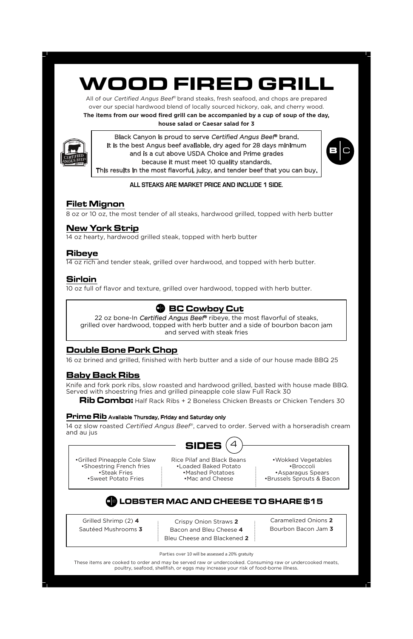# WOOD FIRED GRILL

All of our Certified Angus Beef® brand steaks, fresh seafood, and chops are prepared over our special hardwood blend of locally sourced hickory, oak, and cherry wood.

**The items from our wood fired grill can be accompanied by a cup of soup of the day,** 

#### **house salad or Caesar salad for 3**



Black Canyon is proud to serve Certified Angus Beef® brand. It is the best Angus beef available, dry aged for 28 days minimum and is a cut above USDA Choice and Prime grades because it must meet 10 quality standards. This results in the most flavorful, juicy, and tender beef that you can buy.



All Steaks market price and include 2 sides **All steaks are market price and include 1 side.**

## Filet Mignon

8 oz or 10 oz, the most tender of all steaks, hardwood grilled, topped with herb butter

## New York Strip

14 oz hearty, hardwood grilled steak, topped with herb butter

#### Ribeye

14 oz rich and tender steak, grilled over hardwood, and topped with herb butter.

## Sirloin

10 oz full of flavor and texture, grilled over hardwood, topped with herb butter.

## **SD BC Cowboy Cut**

22 oz bone-In Certified Angus Beef® ribeye, the most flavorful of steaks, grilled over hardwood, topped with herb butter and a side of bourbon bacon jam and served with steak fries

## Double Bone Pork Chop

16 oz brined and grilled, finished with herb butter and a side of our house made BBQ 25

## Baby Back Ribs

Knife and fork pork ribs, slow roasted and hardwood grilled, basted with house made BBQ. Served with shoestring fries and grilled pineapple cole slaw Full Rack 30

Rib Combo: Half Rack Ribs + 2 Boneless Chicken Breasts or Chicken Tenders 30

#### **Prime Rib** Available Thursday, Friday and Saturday only

14 oz slow roasted Certified Angus Beef®, carved to order. Served with a horseradish cream and au jus



•Grilled Pineapple Cole Slaw •Shoestring French fries •Steak Fries •Sweet Potato Fries

Rice Pilaf and Black Beans •Loaded Baked Potato •Mashed Potatoes •Mac and Cheese

•Wokked Vegetables •Broccoli •Asparagus Spears •Brussels Sprouts & Bacon

## LOBSTER MAC AND CHEESE TO SHARE \$15

Grilled Shrimp (2) **4** Sautéed Mushrooms **3**

Crispy Onion Straws **2** Bacon and Bleu Cheese **4** Bleu Cheese and Blackened **2**

Caramelized Onions **2** Bourbon Bacon Jam **3**

Parties over 10 will be assessed a 20% gratuity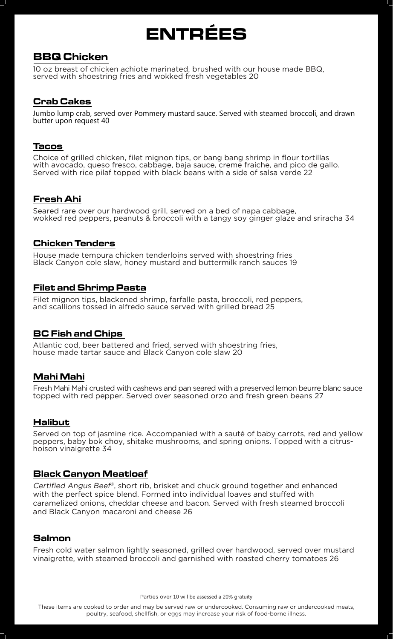# ENTRÉES

## BBQ Chicken

10 oz breast of chicken achiote marinated, brushed with our house made BBQ, served with shoestring fries and wokked fresh vegetables 20

#### Crab Cakes

Jumbo lump crab, served over Pommery mustard sauce. Served with steamed broccoli, and drawn butter upon request 40

#### Tacos

Choice of grilled chicken, filet mignon tips, or bang bang shrimp in flour tortillas with avocado, queso fresco, cabbage, baja sauce, creme fraiche, and pico de gallo. Served with rice pilaf topped with black beans with a side of salsa verde 22

#### Fresh Ahi

Seared rare over our hardwood grill, served on a bed of napa cabbage, wokked red peppers, peanuts & broccoli with a tangy soy ginger glaze and sriracha 34

#### Chicken Tenders

House made tempura chicken tenderloins served with shoestring fries Black Canyon cole slaw, honey mustard and buttermilk ranch sauces 19

#### Filet and Shrimp Pasta

Filet mignon tips, blackened shrimp, farfalle pasta, broccoli, red peppers, and scallions tossed in alfredo sauce served with grilled bread 25

#### BC Fish and Chips

Atlantic cod, beer battered and fried, served with shoestring fries, house made tartar sauce and Black Canyon cole slaw 20

#### Mahi Mahi

Fresh Mahi Mahi crusted with cashews and pan seared with a preserved lemon beurre blanc sauce topped with red pepper. Served over seasoned orzo and fresh green beans 27

#### Halibut

Served on top of jasmine rice. Accompanied with a sauté of baby carrots, red and yellow peppers, baby bok choy, shitake mushrooms, and spring onions. Topped with a citrushoison vinaigrette 34

#### Black Canyon Meatloaf

Certified Angus Beef®, short rib, brisket and chuck ground together and enhanced with the perfect spice blend. Formed into individual loaves and stuffed with caramelized onions, cheddar cheese and bacon. Served with fresh steamed broccoli and Black Canyon macaroni and cheese 26

#### Salmon

Fresh cold water salmon lightly seasoned, grilled over hardwood, served over mustard vinaigrette, with steamed broccoli and garnished with roasted cherry tomatoes 26

Parties over 10 will be assessed a 20% gratuity